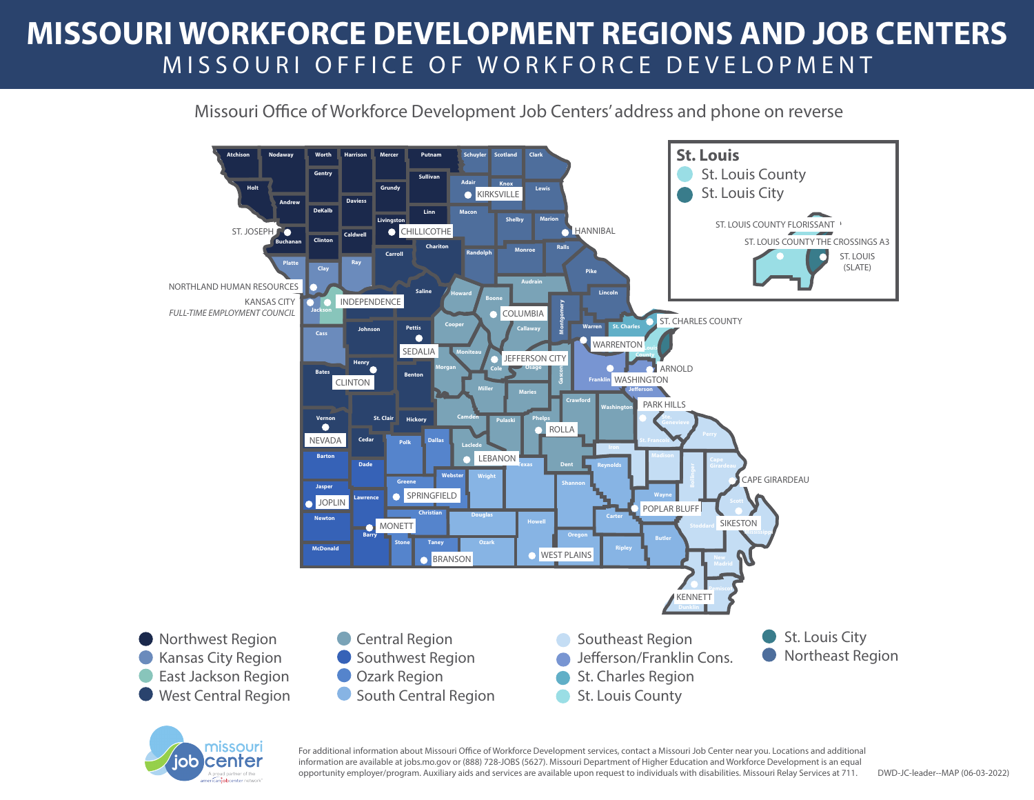## **MISSOURI WORKFORCE DEVELOPMENT REGIONS AND JOB CENTERS** MISSOURI OFFICE OF WORKFORCE DEVELOPMENT

## Missouri Office of Workforce Development Job Centers' address and phone on reverse





For additional information about Missouri Office of Workforce Development services, contact a Missouri Job Center near you. Locations and additional information are available at jobs.mo.gov or (888) 728-JOBS (5627). Missouri Department of Higher Education and Workforce Development is an equal opportunity employer/program. Auxiliary aids and services are available upon request to individuals with disabilities. Missouri Relay Services at 711.